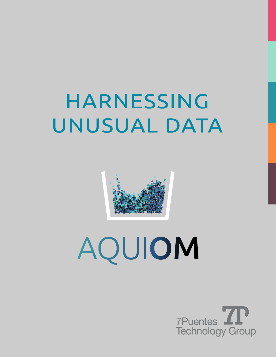# HARNESSING UNUSUAL DATA



# AQUIOM

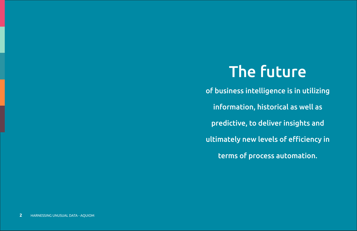# The future

- of business intelligence is in utilizing
	- information, historical as well as
	- predictive, to deliver insights and
- ultimately new levels of efficiency in
	- terms of process automation.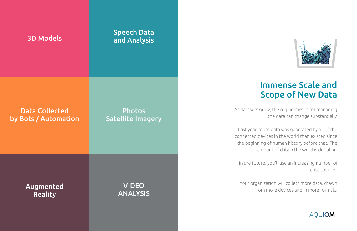#### Immense Scale and Scope of New Data

As datasets grow, the requirements for managing the data can change substantially.

Last year, more data was generated by all of the connected devices in the world than existed since the beginning of human history before that. The amount of data n the word is doubling.

In the future, you'll use an increasing number of data sources:

Your organization will collect more data, drawn from more devices and in more formats.

#### **AQUIOM**



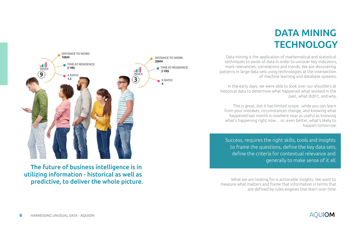Data mining is the application of mathematical and statistical techniques to pools of data in order to uncover key indicators, mark relevancies, correlations and trends. We are discovering patterns in large data sets using technologies at the intersection of machine learning and database systems.

In the early days, we were able to look over our shoulders at historical data to determine what happened what worked in the past, what didn't, and why.

This is great, but it has limited scope. while you can learn from your mistakes, circumstances change, and knowing what happened last month is nowhere near as useful as knowing what's happening right now… or, even better, what's likely to happen tomorrow.

What we are looking for is actionable insights. We want to measure what matters and frame that information in terms that are defined by rules-engines that learn over time.



The future of business intelligence is in utilizing information - historical as well as predictive, to deliver the whole picture. Success, requires the right skills, tools and insights to frame the questions, define the key data sets, define the criteria for contextual relevance and generally to make sense of it all.

# DATA MINING **TECHNOLOGY**

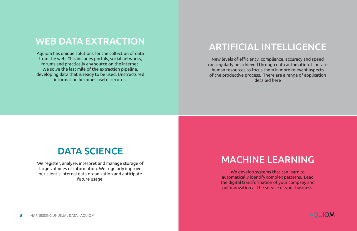## DATA SCIENCE

We register, analyze, interpret and manage storage of large volumes of information. We regularly improve our client's internal data organization and anticipate future usage.

# ARTIFICIAL INTELLIGENCE

New levels of efficiency, compliance, accuracy and speed can regularly be achieved through data automation. Liberate human resources to focus them in more relevant aspects of the productive process. There are a range of application detailed here

## WEB DATA EXTRACTION

Aquiom has unique solutions for the collection of data from the web. This includes portals, social networks, forums and practically any source on the internet. We solve the last mile of the extraction pipeline, developing data that is ready to be used. Unstructured information becomes useful records.

# MACHINE LEARNING

We develop systems that can learn to automatically identify complex patterns. Lead the digital transformation of your company and put innovation at the service of your business.

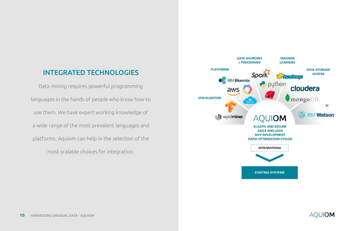#### INTEGRATED TECHNOLOGIES

Data mining requires powerful programming languages in the hands of people who know how to use them. We have expert working knowledge of a wide range of the most prevalent languages and platforms. Aquiom can help in the selection of the most scalable choices for integration.



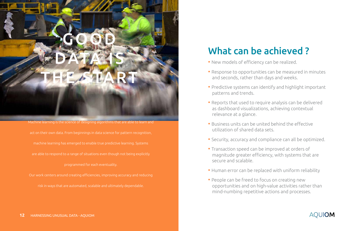- New models of efficiency can be realized.
- Response to opportunities can be measured in minutes and seconds, rather than days and weeks.
- Predictive systems can identify and highlight important patterns and trends.
- Reports that used to require analysis can be delivered as dashboard visualizations, achieving contextual relevance at a glance.
- Business units can be united behind the effective utilization of shared data sets.
- Security, accuracy and compliance can all be optimized.
- Transaction speed can be improved at orders of magnitude greater efficiency, with systems that are secure and scalable.
- Human error can be replaced with uniform reliability
- People can be freed to focus on creating new opportunities and on high-value activities rather than mind-numbing repetitive actions and processes.

Machine learning is the science of designing algorithms that are able to learn and act on their own data. From beginnings in data science for pattern recognition, machine learning has emerged to enable true predictive learning. Systems are able to respond to a range of situations even though not being explicitly programmed for each eventuality.

Our work centers around creating efficiencies, improving accuracy and reducing risk in ways that are automated, scalable and ultimately dependable.

# What can be achieved?



#### **AOUIOM**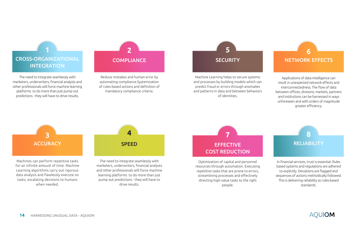#### **SECURITY 5**

The need to integrate seamlessly with marketers, underwriters, financial analysts and other professionals will force machine learning platforms to do more than just pump out predictions - they will have to drive results.

Machine Learning helps to secure systems and processes by building models which can predict fraud or errors through anomalies and patterns in data and between behaviors of identities.

#### CROSS-ORGANIZATIONAL **INTEGRATION**

Applications of data intelligence can result in unexpected network effects and interconnectedness. The flow of data between offices, divisions, markets, partners and institutions can be harnessed in ways unforeseen and with orders of magnitude greater efficiency.

#### NETWORK EFFECTS

**6**





**1**

**2**

The need to integrate seamlessly with marketers, underwriters, financial analysts and other professionals will force machine learning platforms to do more than just pump out predictions - they will have to drive results.

#### **COMPLIANCE**

#### **SPEED 4 ACCURACY 3**

In financial services, trust is essential. Rules based systems and regulations are adhered to explicitly. Deviations are flagged and sequences of actions methodically followed. This is delivering reliability as rules-based standards.



Reduce mistakes and human error by automating compliance.Systemization of rules-based actions and definition of mandatory compliance criteria.

> Optimization of capital and personnel resources through automation. Executing repetitive tasks that are prone to errors, streamlining processes and effectively directing high-value tasks to the right people.

Machines can perform repetitive tasks for an infinite amount of time. Machine Learning algorithms carry out rigorous data analysis and flawlessly execute on tasks, escalating decisions to humans when needed.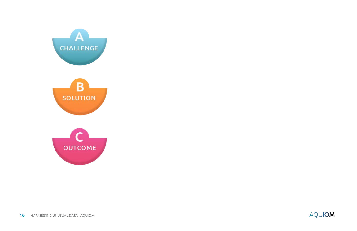





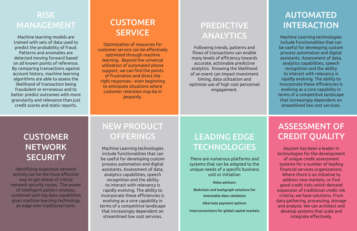### RISK MANAGEMENT

Machine learning models are trained with sets of data used to predict the probability of fraud. Patterns and anomalies are detected moving forward based on all known points of reference. By comparing transactions against account history, machine learning algorithms are able to assess the likelihood of transaction being fraudulent or erroneous and to better predict outcomes with more granularity and relevance than just credit scores and static reports.

#### **CUSTOMER SERVICE**

Optimization of resources for customer service can be effectively optimized through machine learning. Beyond the universal utilization of automated phone support, we can find the points of frustration and direct the right responses - even beginning to anticipate situations where customer retention may be in jeopardy.

#### NEW PRODUCT **OFFERINGS**

### PREDICTIVE ANALYTICS

Following trends, patterns and flows of transactions can enable many levels of efficiency towards accurate, actionable predictive analytics. Knowing the likelihood of an event can impact investment timing, data utilization and optimize use of high cost personnel engagement.

### **CUSTOMER NETWORK SECURITY**

#### AUTOMATED INTERACTION

### LEADING EDGE **TECHNOLOGIES**

Machine Learning technologies include functionalities that can be useful for developing custom process automation and digital assistants. Assessment of data, analytics capabilities, speech recognition and the ability to interact with relevancy is rapidly evolving. The ability to incorporate these efficiencies is evolving as a core capability in terms of a competitive landscape that increasingly dependent on streamlined low cost services.

Machine Learning technologies include functionalities that can be useful for developing custom process automation and digital assistants. Assessment of data, analytics capabilities, speech recognition and the ability to interact with relevancy is rapidly evolving. The ability to incorporate these efficiencies is evolving as a core capability in terms of a competitive landscape that increasingly dependent on streamlined low cost services.

Identifying suspicious network activity can be the most effective way to get ahead of critical network security issues. The power of intelligent pattern analysis, combined with big data capabilities gives machine learning technology an edge over traditional tools.

There are numerous platforms and systems that can be adapted to the unique needs of a specific business unit or initiative:

Robo advisors

Blokchain and hashgraph solutions for immutable data validation

Alternate payment options

Interconnections for global capital markets

### ASSESSMENT OF CREDIT QUALITY

Aquiom has been a leader in technologies for the development of unique credit assessment systems for a number of leading financial services organizations. Where there is an initiative to address new markets, or find good credit risks which demand expansion of traditional credit risk criteria, we have solutions. From data gathering, processing, storage and analysis. We can architect and develop systems that scale and integrate effectively.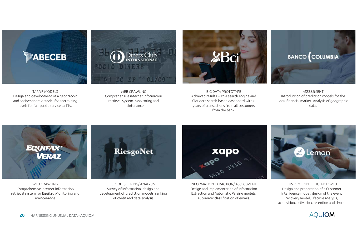

WEB CRAWLING Comprehensive internet information retrieval system for Equifax. Monitoring and maintenance

CREDIT SCORING/ ANALYSIS Survey of information, design and development of prediction models, ranking of credit and data analysis

INFORMATION EXRACTION/ ASSECSMENT Design and implementation of Information Extraction and Automatic Parsing models. Automatic classification of emails.

CUSTOMER INTELLIGENCE: WEB Design and preparation of a Customer Intelligence model: design of the event recovery model, lifecycle analysis, acquisition, activation, retention and churn.









TARRIF MODELS Design and development of a geographic and socioeconomic model for acertaining levels for fair public service tariffs.

WEB CRAWLING Comprehensive internet information retrieval system. Monitoring and maintenance

BIG DATA PROTOTYPE Achieved results with a search engine and Cloudera search-based dashboard with 6 years of transactions from all customers from the bank.

ASSESSMENT Introduction of prediction models for the local financial market. Analysis of geographic data.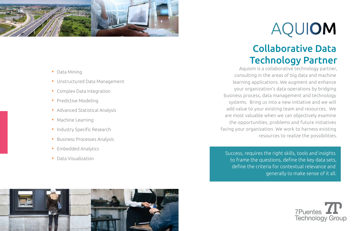# Collaborative Data Technology Partner



Aquiom is a collaborative technology partner, consulting in the areas of big data and machine learning applications. We augment and enhance your organization's data operations by bridging business process, data management and technology systems. Bring us into a new initiative and we will add value to your existing team and resources. We are most valuable when we can objectively examine the opportunities, problems and future initiatives facing your organization. We work to harness existing resources to realize the possibilities.

Success, requires the right skills, tools and insights to frame the questions, define the key data sets, define the criteria for contextual relevance and generally to make sense of it all.



# AQUIOM



- Data Mining
- Unstructured Data Management
- Complex Data Integration
- Predictive Modeling
- Advanced Statistical Analysis
- Machine Learning
- Industry Specific Research
- Business Processes Analysis
- Embedded Analytics
- Data Visualization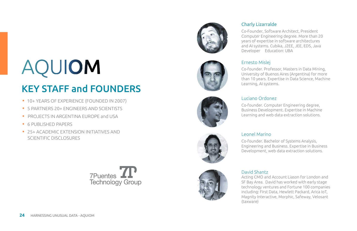# KEY STAFF and FOUNDERS

- 10+ YEARS OF EXPERIENCE (FOUNDED IN 2007)
- 5 PARTNERS 20+ ENGINEERS AND SCIENTISTS
- PROJECTS IN ARGENTINA EUROPE and USA
- **6 PUBLISHED PAPERS**
- 25+ ACADEMIC EXTENSION INITIATIVES AND SCIENTIFIC DISCLOSURES









#### Charly Lizarralde

Co-Founder, Software Architect, President Computer Engineering degree. More than 20 years of expertise in software architectures and AI systems. Cubika, J2EE, JEE, EDS, Java Developer Education: UBA



#### Ernesto Mislej

Co-founder. Professor, Masters in Data Mining, University of Buenos Aires (Argentina) for more than 10 years. Expertise in Data Science, Machine Learning, AI systems.

#### Leonel Marino

Co-founder. Bachelor of Systems Analysis, Engineering and Business. Expertise in Business Development, web data extraction solutions.

David Shantz Acting CMO and Account Liason for London and SF Bay Area. David has worked with early stage technology ventures and Fortune 100 companies including: First Data, Hewlett Packard, Arica IoT, Magnity Interactive, Morphic, Safeway, Velosant (taxware)

# AQUIOM

#### Luciano Ordonez

Co-founder. Computer Engineering degree, Business Development. Expertise in Machine Learning and web data extraction solutions.